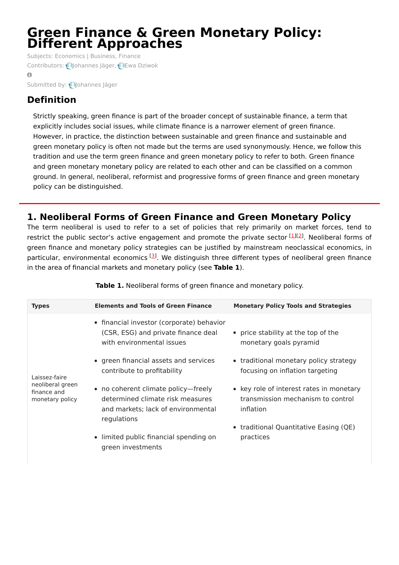# **Green Finance & Green Monetary Policy: Different Approaches**

Subjects: [Economics](https://encyclopedia.pub/item/subject/314) | [Business,](https://encyclopedia.pub/item/subject/313) Finance Contributors: **O**[Johannes](https://sciprofiles.com/profile/1839928) Jäger, **DEwa [Dziwok](https://sciprofiles.com/profile/1632940)**  $\Omega$ 

Submitted by: **[Johannes](https://sciprofiles.com/profile/1839928) Jäger** 

# **Definition**

Strictly speaking, green finance is part of the broader concept of sustainable finance, a term that explicitly includes social issues, while climate finance is a narrower element of green finance. However, in practice, the distinction between sustainable and green finance and sustainable and green monetary policy is often not made but the terms are used synonymously. Hence, we follow this tradition and use the term green finance and green monetary policy to refer to both. Green finance and green monetary monetary policy are related to each other and can be classified on a common ground. In general, neoliberal, reformist and progressive forms of green finance and green monetary policy can be distinguished.

# **1. Neoliberal Forms of Green Finance and Green Monetary Policy**

The term neoliberal is used to refer to a set of policies that rely primarily on market forces, tend to restrict the public sector's active engagement and promote the private sector [[1](#page-6-0)][[2](#page-6-1)]. Neoliberal forms of green finance and monetary policy strategies can be justified by mainstream neoclassical economics, in particular, environmental economics [[3](#page-7-0)]. We distinguish three different types of neoliberal green finance in the area of financial markets and monetary policy (see **Table 1**).

| <b>Types</b>                                                        | <b>Elements and Tools of Green Finance</b>                                                                                   | <b>Monetary Policy Tools and Strategies</b>                                                |
|---------------------------------------------------------------------|------------------------------------------------------------------------------------------------------------------------------|--------------------------------------------------------------------------------------------|
| Laissez-faire<br>neoliberal green<br>finance and<br>monetary policy | • financial investor (corporate) behavior<br>(CSR, ESG) and private finance deal<br>with environmental issues                | • price stability at the top of the<br>monetary goals pyramid                              |
|                                                                     | • green financial assets and services<br>contribute to profitability                                                         | • traditional monetary policy strategy<br>focusing on inflation targeting                  |
|                                                                     | • no coherent climate policy—freely<br>determined climate risk measures<br>and markets: lack of environmental<br>regulations | • key role of interest rates in monetary<br>transmission mechanism to control<br>inflation |
|                                                                     | • limited public financial spending on<br>green investments                                                                  | • traditional Quantitative Easing (QE)<br>practices                                        |

**Table 1.** Neoliberal forms of green finance and monetary policy.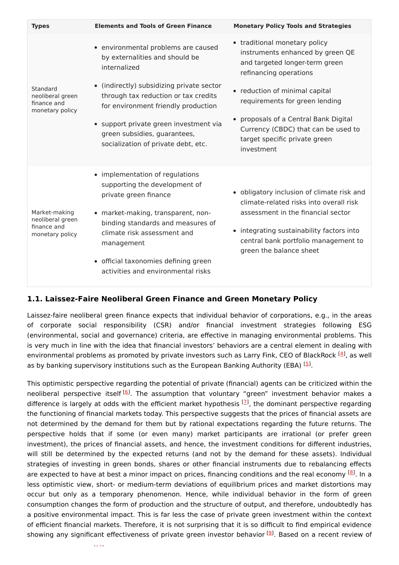| <b>Types</b>                                                        | <b>Elements and Tools of Green Finance</b>                                                                                                                                                                                                                | <b>Monetary Policy Tools and Strategies</b>                                                                                                                                                                                                 |
|---------------------------------------------------------------------|-----------------------------------------------------------------------------------------------------------------------------------------------------------------------------------------------------------------------------------------------------------|---------------------------------------------------------------------------------------------------------------------------------------------------------------------------------------------------------------------------------------------|
|                                                                     | • environmental problems are caused<br>by externalities and should be<br>internalized                                                                                                                                                                     | • traditional monetary policy<br>instruments enhanced by green QE<br>and targeted longer-term green<br>refinancing operations                                                                                                               |
| Standard<br>neoliberal green<br>finance and<br>monetary policy      | • (indirectly) subsidizing private sector<br>through tax reduction or tax credits<br>for environment friendly production                                                                                                                                  | • reduction of minimal capital<br>requirements for green lending                                                                                                                                                                            |
|                                                                     | • support private green investment via<br>green subsidies, guarantees,<br>socialization of private debt, etc.                                                                                                                                             | • proposals of a Central Bank Digital<br>Currency (CBDC) that can be used to<br>target specific private green<br>investment                                                                                                                 |
| Market-making<br>neoliberal green<br>finance and<br>monetary policy | • implementation of regulations<br>supporting the development of<br>private green finance<br>• market-making, transparent, non-<br>binding standards and measures of<br>climate risk assessment and<br>management<br>• official taxonomies defining green | • obligatory inclusion of climate risk and<br>climate-related risks into overall risk<br>assessment in the financial sector<br>• integrating sustainability factors into<br>central bank portfolio management to<br>green the balance sheet |
|                                                                     | activities and environmental risks                                                                                                                                                                                                                        |                                                                                                                                                                                                                                             |

#### **1.1. Laissez-Faire Neoliberal Green Finance and Green Monetary Policy**

Laissez-faire neoliberal green finance expects that individual behavior of corporations, e.g., in the areas of corporate social responsibility (CSR) and/or financial investment strategies following ESG (environmental, social and governance) criteria, are effective in managing environmental problems. This is very much in line with the idea that financial investors' behaviors are a central element in dealing with environmental problems as promoted by private investors such as Larry Fink, CEO of BlackRock [\[4](#page-7-1)], as well as by banking supervisory institutions such as the European Banking Authority (EBA) <sup>[\[5](#page-7-2)]</sup>.

This optimistic perspective regarding the potential of private (financial) agents can be criticized within the neoliberal perspective itself<sup>[\[6](#page-7-3)]</sup>. The assumption that voluntary "green" investment behavior makes a difference is largely at odds with the efficient market hypothesis <sup>[\[7](#page-7-4)]</sup>, the dominant perspective regarding the functioning of financial markets today. This perspective suggests that the prices of financial assets are not determined by the demand for them but by rational expectations regarding the future returns. The perspective holds that if some (or even many) market participants are irrational (or prefer green investment), the prices of financial assets, and hence, the investment conditions for different industries, will still be determined by the expected returns (and not by the demand for these assets). Individual strategies of investing in green bonds, shares or other financial instruments due to rebalancing effects are expected to have at best a minor impact on prices, financing conditions and the real economy [\[8](#page-7-5)]. In a less optimistic view, short- or medium-term deviations of equilibrium prices and market distortions may occur but only as a temporary phenomenon. Hence, while individual behavior in the form of green consumption changes the form of production and the structure of output, and therefore, undoubtedly has a positive environmental impact. This is far less the case of private green investment within the context of efficient financial markets. Therefore, it is not surprising that it is so difficult to find empirical evidence showing any significant effectiveness of private green investor behavior [\[9](#page-7-6)]. Based on a recent review of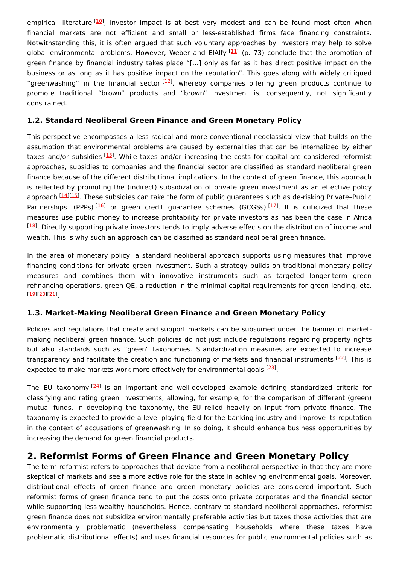empirical literature [\[10](#page-7-7)], investor impact is at best very modest and can be found most often when financial markets are not efficient and small or less-established firms face financing constraints. Notwithstanding this, it is often argued that such voluntary approaches by investors may help to solve global environmental problems. However, Weber and ElAlfy <sup>[[11](#page-7-8)]</sup> (p. 73) conclude that the promotion of green finance by financial industry takes place "[…] only as far as it has direct positive impact on the business or as long as it has positive impact on the reputation". This goes along with widely critiqued "greenwashing" in the financial sector [\[12](#page-7-9)], whereby companies offering green products continue to promote traditional "brown" products and "brown" investment is, consequently, not significantly constrained.

#### **1.2. Standard Neoliberal Green Finance and Green Monetary Policy**

This perspective encompasses a less radical and more conventional neoclassical view that builds on the assumption that environmental problems are caused by externalities that can be internalized by either taxes and/or subsidies [[13](#page-7-10)]. While taxes and/or increasing the costs for capital are considered reformist approaches, subsidies to companies and the financial sector are classified as standard neoliberal green finance because of the different distributional implications. In the context of green finance, this approach is reflected by promoting the (indirect) subsidization of private green investment as an effective policy approach [[14](#page-7-11)][\[15\]](#page-7-12). These subsidies can take the form of public guarantees such as de-risking Private-Public Partnerships (PPPs)<sup>[[16](#page-7-13)]</sup> or green credit guarantee schemes (GCGSs)<sup>[[17](#page-7-14)]</sup>. It is criticized that these measures use public money to increase profitability for private investors as has been the case in Africa <sup>[[18](#page-7-15)]</sup>. Directly supporting private investors tends to imply adverse effects on the distribution of income and wealth. This is why such an approach can be classified as standard neoliberal green finance.

In the area of monetary policy, a standard neoliberal approach supports using measures that improve financing conditions for private green investment. Such a strategy builds on traditional monetary policy measures and combines them with innovative instruments such as targeted longer-term green refinancing operations, green QE, a reduction in the minimal capital requirements for green lending, etc. . [[19](#page-7-16)][\[20\]](#page-7-17)[[21](#page-7-18)]

#### **1.3. Market-Making Neoliberal Green Finance and Green Monetary Policy**

Policies and regulations that create and support markets can be subsumed under the banner of marketmaking neoliberal green finance. Such policies do not just include regulations regarding property rights but also standards such as "green" taxonomies. Standardization measures are expected to increase transparency and facilitate the creation and functioning of markets and financial instruments [\[22](#page-7-19)]. This is expected to make markets work more effectively for environmental goals <a>[[23](#page-7-20)]</a>.

The EU taxonomy [[24\]](#page-7-21) is an important and well-developed example defining standardized criteria for classifying and rating green investments, allowing, for example, for the comparison of different (green) mutual funds. In developing the taxonomy, the EU relied heavily on input from private finance. The taxonomy is expected to provide a level playing field for the banking industry and improve its reputation in the context of accusations of greenwashing. In so doing, it should enhance business opportunities by increasing the demand for green financial products.

## **2. Reformist Forms of Green Finance and Green Monetary Policy**

The term reformist refers to approaches that deviate from a neoliberal perspective in that they are more skeptical of markets and see a more active role for the state in achieving environmental goals. Moreover, distributional effects of green finance and green monetary policies are considered important. Such reformist forms of green finance tend to put the costs onto private corporates and the financial sector while supporting less-wealthy households. Hence, contrary to standard neoliberal approaches, reformist green finance does not subsidize environmentally preferable activities but taxes those activities that are environmentally problematic (nevertheless compensating households where these taxes have problematic distributional effects) and uses financial resources for public environmental policies such as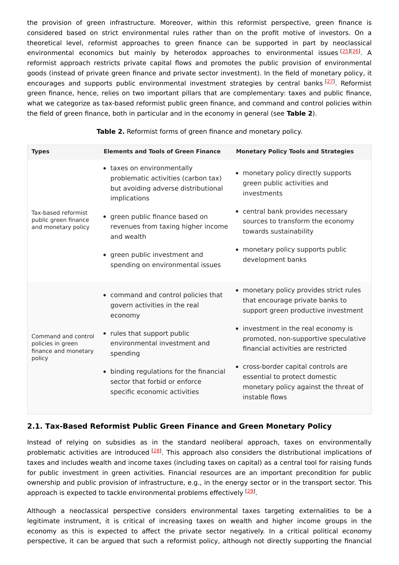the provision of green infrastructure. Moreover, within this reformist perspective, green finance is considered based on strict environmental rules rather than on the profit motive of investors. On a theoretical level, reformist approaches to green finance can be supported in part by neoclassical environmental economics but mainly by heterodox approaches to environmental issues [\[25](#page-7-22)][\[26](#page-7-23)]. A reformist approach restricts private capital flows and promotes the public provision of environmental goods (instead of private green finance and private sector investment). In the field of monetary policy, it encourages and supports public environmental investment strategies by central banks <a>[[27](#page-7-24)]</a>. Reformist green finance, hence, relies on two important pillars that are complementary: taxes and public finance, what we categorize as tax-based reformist public green finance, and command and control policies within the field of green finance, both in particular and in the economy in general (see **Table 2**).

| <b>Monetary Policy Tools and Strategies</b>                                                                                     |
|---------------------------------------------------------------------------------------------------------------------------------|
| • monetary policy directly supports<br>green public activities and<br>investments                                               |
| • central bank provides necessary<br>sources to transform the economy<br>towards sustainability                                 |
| monetary policy supports public<br>development banks                                                                            |
| • monetary policy provides strict rules<br>that encourage private banks to<br>support green productive investment               |
| • investment in the real economy is<br>promoted, non-supportive speculative<br>financial activities are restricted              |
| • cross-border capital controls are<br>essential to protect domestic<br>monetary policy against the threat of<br>instable flows |
|                                                                                                                                 |

**Table 2.** Reformist forms of green finance and monetary policy.

#### **2.1. Tax-Based Reformist Public Green Finance and Green Monetary Policy**

Instead of relying on subsidies as in the standard neoliberal approach, taxes on environmentally problematic activities are introduced <sup>[[28\]](#page-7-25)</sup>. This approach also considers the distributional implications of taxes and includes wealth and income taxes (including taxes on capital) as a central tool for raising funds for public investment in green activities. Financial resources are an important precondition for public ownership and public provision of infrastructure, e.g., in the energy sector or in the transport sector. This approach is expected to tackle environmental problems effectively <sup>[\[29](#page-7-26)]</sup>.

Although a neoclassical perspective considers environmental taxes targeting externalities to be a legitimate instrument, it is critical of increasing taxes on wealth and higher income groups in the economy as this is expected to affect the private sector negatively. In a critical political economy perspective, it can be argued that such a reformist policy, although not directly supporting the financial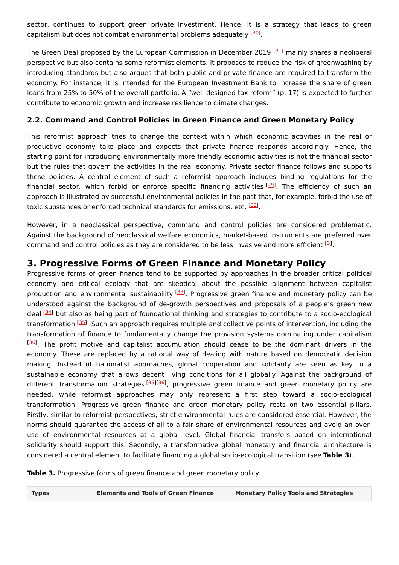sector, continues to support green private investment. Hence, it is a strategy that leads to green capitalism but does not combat environmental problems adequately <sup>[\[30\]](#page-8-0)</sup>.

The Green Deal proposed by the European Commission in December 2019 <sup>[\[31](#page-8-1)]</sup> mainly shares a neoliberal perspective but also contains some reformist elements. It proposes to reduce the risk of greenwashing by introducing standards but also argues that both public and private finance are required to transform the economy. For instance, it is intended for the European Investment Bank to increase the share of green loans from 25% to 50% of the overall portfolio. A "well-designed tax reform" (p. 17) is expected to further contribute to economic growth and increase resilience to climate changes.

#### **2.2. Command and Control Policies in Green Finance and Green Monetary Policy**

This reformist approach tries to change the context within which economic activities in the real or productive economy take place and expects that private finance responds accordingly. Hence, the starting point for introducing environmentally more friendly economic activities is not the financial sector but the rules that govern the activities in the real economy. Private sector finance follows and supports these policies. A central element of such a reformist approach includes binding regulations for the financial sector, which forbid or enforce specific financing activities [\[29](#page-7-26)]. The efficiency of such an approach is illustrated by successful environmental policies in the past that, for example, forbid the use of toxic substances or enforced technical standards for emissions, etc. <sup>[[32](#page-8-2)]</sup>.

However, in a neoclassical perspective, command and control policies are considered problematic. Against the background of neoclassical welfare economics, market-based instruments are preferred over command and control policies as they are considered to be less invasive and more efficient  $^{[3]}$  $^{[3]}$  $^{[3]}$ .

# **3. Progressive Forms of Green Finance and Monetary Policy**

Progressive forms of green finance tend to be supported by approaches in the broader critical political economy and critical ecology that are skeptical about the possible alignment between capitalist production and environmental sustainability <sup>[\[33](#page-8-3)]</sup>. Progressive green finance and monetary policy can be understood against the background of de-growth perspectives and proposals of a people's green new deal <sup>[[34](#page-8-4)]</sup> but also as being part of foundational thinking and strategies to contribute to a socio-ecological transformation <sup>[[35\]](#page-8-5)</sup>. Such an approach requires multiple and collective points of intervention, including the transformation of finance to fundamentally change the provision systems dominating under capitalism [[36](#page-8-6)]. The profit motive and capitalist accumulation should cease to be the dominant drivers in the economy. These are replaced by a rational way of dealing with nature based on democratic decision making. Instead of nationalist approaches, global cooperation and solidarity are seen as key to a sustainable economy that allows decent living conditions for all globally. Against the background of different transformation strategies [\[35](#page-8-5)][[36](#page-8-6)], progressive green finance and green monetary policy are needed, while reformist approaches may only represent a first step toward a socio-ecological transformation. Progressive green finance and green monetary policy rests on two essential pillars. Firstly, similar to reformist perspectives, strict environmental rules are considered essential. However, the norms should guarantee the access of all to a fair share of environmental resources and avoid an overuse of environmental resources at a global level. Global financial transfers based on international solidarity should support this. Secondly, a transformative global monetary and financial architecture is considered a central element to facilitate financing a global socio-ecological transition (see **Table 3**).

**Table 3.** Progressive forms of green finance and green monetary policy.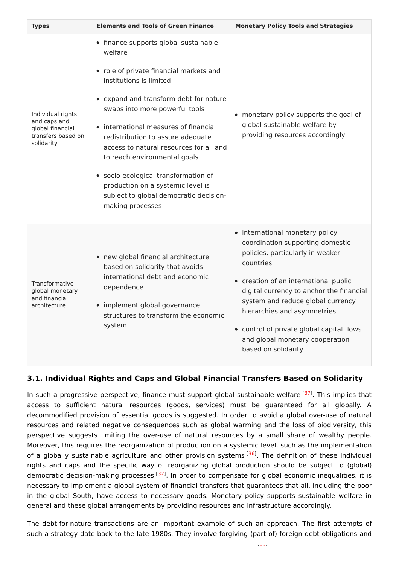| <b>Types</b>                                                                              | <b>Elements and Tools of Green Finance</b>                                                                                                                                                                                                                                                                                                                                                                                                                                                             | <b>Monetary Policy Tools and Strategies</b>                                                                                                                                                                                                                                                                                                                                          |
|-------------------------------------------------------------------------------------------|--------------------------------------------------------------------------------------------------------------------------------------------------------------------------------------------------------------------------------------------------------------------------------------------------------------------------------------------------------------------------------------------------------------------------------------------------------------------------------------------------------|--------------------------------------------------------------------------------------------------------------------------------------------------------------------------------------------------------------------------------------------------------------------------------------------------------------------------------------------------------------------------------------|
| Individual rights<br>and caps and<br>global financial<br>transfers based on<br>solidarity | • finance supports global sustainable<br>welfare<br>• role of private financial markets and<br>institutions is limited<br>• expand and transform debt-for-nature<br>swaps into more powerful tools<br>• international measures of financial<br>redistribution to assure adequate<br>access to natural resources for all and<br>to reach environmental goals<br>· socio-ecological transformation of<br>production on a systemic level is<br>subject to global democratic decision-<br>making processes | • monetary policy supports the goal of<br>global sustainable welfare by<br>providing resources accordingly                                                                                                                                                                                                                                                                           |
| Transformative<br>global monetary<br>and financial<br>architecture                        | • new global financial architecture<br>based on solidarity that avoids<br>international debt and economic<br>dependence<br>• implement global governance<br>structures to transform the economic<br>system                                                                                                                                                                                                                                                                                             | • international monetary policy<br>coordination supporting domestic<br>policies, particularly in weaker<br>countries<br>• creation of an international public<br>digital currency to anchor the financial<br>system and reduce global currency<br>hierarchies and asymmetries<br>• control of private global capital flows<br>and global monetary cooperation<br>based on solidarity |

## **3.1. Individual Rights and Caps and Global Financial Transfers Based on Solidarity**

In such a progressive perspective, finance must support global sustainable welfare <a>[[37](#page-8-7)]</a>. This implies that access to sufficient natural resources (goods, services) must be guaranteed for all globally. A decommodified provision of essential goods is suggested. In order to avoid a global over-use of natural resources and related negative consequences such as global warming and the loss of biodiversity, this perspective suggests limiting the over-use of natural resources by a small share of wealthy people. Moreover, this requires the reorganization of production on a systemic level, such as the implementation of a globally sustainable agriculture and other provision systems [\[36\]](#page-8-6). The definition of these individual rights and caps and the specific way of reorganizing global production should be subject to (global) democratic decision-making processes <a>[[32](#page-8-2)]</a>. In order to compensate for global economic inequalities, it is necessary to implement a global system of financial transfers that guarantees that all, including the poor in the global South, have access to necessary goods. Monetary policy supports sustainable welfare in general and these global arrangements by providing resources and infrastructure accordingly.

The debt-for-nature transactions are an important example of such an approach. The first attempts of such a strategy date back to the late 1980s. They involve forgiving (part of) foreign debt obligations and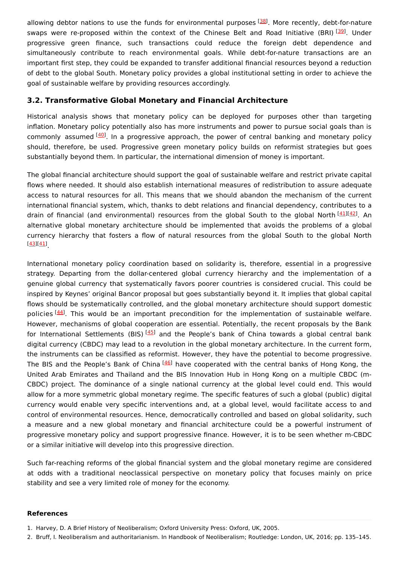allowing debtor nations to use the funds for environmental purposes [\[38](#page-8-8)]. More recently, debt-for-nature swaps were re-proposed within the context of the Chinese Belt and Road Initiative (BRI) [\[39](#page-8-9)]. Under progressive green finance, such transactions could reduce the foreign debt dependence and simultaneously contribute to reach environmental goals. While debt-for-nature transactions are an important first step, they could be expanded to transfer additional financial resources beyond a reduction of debt to the global South. Monetary policy provides a global institutional setting in order to achieve the goal of sustainable welfare by providing resources accordingly.

#### **3.2. Transformative Global Monetary and Financial Architecture**

Historical analysis shows that monetary policy can be deployed for purposes other than targeting inflation. Monetary policy potentially also has more instruments and power to pursue social goals than is commonly assumed <sup>[[40](#page-8-10)]</sup>. In a progressive approach, the power of central banking and monetary policy should, therefore, be used. Progressive green monetary policy builds on reformist strategies but goes substantially beyond them. In particular, the international dimension of money is important.

The global financial architecture should support the goal of sustainable welfare and restrict private capital flows where needed. It should also establish international measures of redistribution to assure adequate access to natural resources for all. This means that we should abandon the mechanism of the current international financial system, which, thanks to debt relations and financial dependency, contributes to a drain of financial (and environmental) resources from the global South to the global North [\[41](#page-8-11)][\[42](#page-8-12)]. An alternative global monetary architecture should be implemented that avoids the problems of a global currency hierarchy that fosters a flow of natural resources from the global South to the global North . [[43](#page-8-13)][\[41\]](#page-8-11)

International monetary policy coordination based on solidarity is, therefore, essential in a progressive strategy. Departing from the dollar-centered global currency hierarchy and the implementation of a genuine global currency that systematically favors poorer countries is considered crucial. This could be inspired by Keynes' original Bancor proposal but goes substantially beyond it. It implies that global capital flows should be systematically controlled, and the global monetary architecture should support domestic policies <sup>[[44\]](#page-8-14)</sup>. This would be an important precondition for the implementation of sustainable welfare. However, mechanisms of global cooperation are essential. Potentially, the recent proposals by the Bank for International Settlements (BIS)<sup>[[45\]](#page-8-15)</sup> and the People's bank of China towards a global central bank digital currency (CBDC) may lead to a revolution in the global monetary architecture. In the current form, the instruments can be classified as reformist. However, they have the potential to become progressive. The BIS and the People's Bank of China [\[46](#page-8-16)] have cooperated with the central banks of Hong Kong, the United Arab Emirates and Thailand and the BIS Innovation Hub in Hong Kong on a multiple CBDC (m-CBDC) project. The dominance of a single national currency at the global level could end. This would allow for a more symmetric global monetary regime. The specific features of such a global (public) digital currency would enable very specific interventions and, at a global level, would facilitate access to and control of environmental resources. Hence, democratically controlled and based on global solidarity, such a measure and a new global monetary and financial architecture could be a powerful instrument of progressive monetary policy and support progressive finance. However, it is to be seen whether m-CBDC or a similar initiative will develop into this progressive direction.

Such far-reaching reforms of the global financial system and the global monetary regime are considered at odds with a traditional neoclassical perspective on monetary policy that focuses mainly on price stability and see a very limited role of money for the economy.

#### **References**

<span id="page-6-0"></span><sup>1.</sup> Harvey, D. A Brief History of Neoliberalism; Oxford University Press: Oxford, UK, 2005.

<span id="page-6-1"></span><sup>2.</sup> Bruff, I. Neoliberalism and authoritarianism. In Handbook of Neoliberalism; Routledge: London, UK, 2016; pp. 135–145.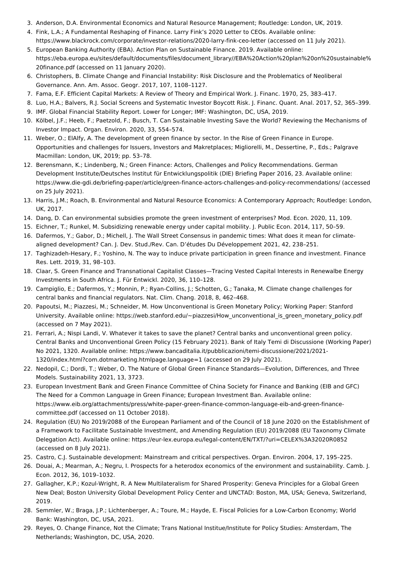- <span id="page-7-0"></span>3. Anderson, D.A. Environmental Economics and Natural Resource Management; Routledge: London, UK, 2019.
- <span id="page-7-1"></span>4. Fink, L.A.; A Fundamental Reshaping of Finance. Larry Fink's 2020 Letter to CEOs. Available online: https://www.blackrock.com/corporate/investor-relations/2020-larry-fink-ceo-letter (accessed on 11 July 2021).
- <span id="page-7-2"></span>5. European Banking Authority (EBA). Action Plan on Sustainable Finance. 2019. Available online: https://eba.europa.eu/sites/default/documents/files/document\_library//EBA%20Action%20plan%20on%20sustainable% 20finance.pdf (accessed on 11 January 2020).
- <span id="page-7-3"></span>6. Christophers, B. Climate Change and Financial Instability: Risk Disclosure and the Problematics of Neoliberal Governance. Ann. Am. Assoc. Geogr. 2017, 107, 1108–1127.
- <span id="page-7-4"></span>7. Fama, E.F. Efficient Capital Markets: A Review of Theory and Empirical Work. J. Financ. 1970, 25, 383–417.
- <span id="page-7-5"></span>8. Luo, H.A.; Balvers, R.J. Social Screens and Systematic Investor Boycott Risk. J. Financ. Quant. Anal. 2017, 52, 365–399.
- <span id="page-7-6"></span>9. IMF. Global Financial Stability Report. Lower for Longer; IMF: Washington, DC, USA, 2019.
- <span id="page-7-7"></span>10. Kölbel, J.F.; Heeb, F.; Paetzold, F.; Busch, T. Can Sustainable Investing Save the World? Reviewing the Mechanisms of Investor Impact. Organ. Environ. 2020, 33, 554–574.
- <span id="page-7-8"></span>11. Weber, O.; ElAlfy, A. The development of green finance by sector. In the Rise of Green Finance in Europe. Opportunities and challenges for Issuers, Investors and Makretplaces; Migliorelli, M., Dessertine, P., Eds.; Palgrave Macmillan: London, UK, 2019; pp. 53–78.
- <span id="page-7-9"></span>12. Berensmann, K.; Lindenberg, N.; Green Finance: Actors, Challenges and Policy Recommendations. German Development Institute/Deutsches Institut für Entwicklungspolitik (DIE) Briefing Paper 2016, 23. Available online: https://www.die-gdi.de/briefing-paper/article/green-finance-actors-challenges-and-policy-recommendations/ (accessed on 25 July 2021).
- <span id="page-7-10"></span>13. Harris, J.M.; Roach, B. Environmental and Natural Resource Economics: A Contemporary Approach; Routledge: London, UK, 2017.
- <span id="page-7-11"></span>14. Dang, D. Can environmental subsidies promote the green investment of enterprises? Mod. Econ. 2020, 11, 109.
- <span id="page-7-12"></span>15. Eichner, T.; Runkel, M. Subsidizing renewable energy under capital mobility. J. Public Econ. 2014, 117, 50–59.
- <span id="page-7-13"></span>16. Dafermos, Y.; Gabor, D.; Michell, J. The Wall Street Consensus in pandemic times: What does it mean for climatealigned development? Can. J. Dev. Stud./Rev. Can. D'études Du Développement 2021, 42, 238–251.
- <span id="page-7-14"></span>17. Taghizadeh-Hesary, F.; Yoshino, N. The way to induce private participation in green finance and investment. Finance Res. Lett. 2019, 31, 98–103.
- <span id="page-7-15"></span>18. Claar, S. Green Finance and Transnational Capitalist Classes—Tracing Vested Capital Interests in Renewalbe Energy Investments in South Africa. J. Für Entwickl. 2020, 36, 110–128.
- <span id="page-7-16"></span>19. Campiglio, E.; Dafermos, Y.; Monnin, P.; Ryan-Collins, J.; Schotten, G.; Tanaka, M. Climate change challenges for central banks and financial regulators. Nat. Clim. Chang. 2018, 8, 462–468.
- <span id="page-7-17"></span>20. Papoutsi, M.; Piazzesi, M.; Schneider, M. How Unconventional is Green Monetary Policy; Working Paper: Stanford University. Available online: https://web.stanford.edu/~piazzesi/How\_unconventional\_is\_green\_monetary\_policy.pdf (accessed on 7 May 2021).
- <span id="page-7-18"></span>21. Ferrari, A.; Nispi Landi, V. Whatever it takes to save the planet? Central banks and unconventional green policy. Central Banks and Unconventional Green Policy (15 February 2021). Bank of Italy Temi di Discussione (Working Paper) No 2021, 1320. Available online: https://www.bancaditalia.it/pubblicazioni/temi-discussione/2021/2021- 1320/index.html?com.dotmarketing.htmlpage.language=1 (accessed on 29 July 2021).
- <span id="page-7-19"></span>22. Nedopil, C.; Dordi, T.; Weber, O. The Nature of Global Green Finance Standards—Evolution, Differences, and Three Models. Sustainability 2021, 13, 3723.
- <span id="page-7-20"></span>23. European Investment Bank and Green Finance Committee of China Society for Finance and Banking (EIB and GFC) The Need for a Common Language in Green Finance; European Investment Ban. Available online: https://www.eib.org/attachments/press/white-paper-green-finance-common-language-eib-and-green-financecommittee.pdf (accessed on 11 October 2018).
- <span id="page-7-21"></span>24. Regulation (EU) No 2019/2088 of the European Parliament and of the Council of 18 June 2020 on the Establishment of a Framework to Facilitate Sustainable Investment, and Amending Regulation (EU) 2019/2088 (EU Taxonomy Climate Delegation Act). Available online: https://eur-lex.europa.eu/legal-content/EN/TXT/?uri=CELEX%3A32020R0852 (accessed on 8 July 2021).
- <span id="page-7-22"></span>25. Castro, C.J. Sustainable development: Mainstream and critical perspectives. Organ. Environ. 2004, 17, 195–225.
- <span id="page-7-23"></span>26. Douai, A.; Mearman, A.; Negru, I. Prospects for a heterodox economics of the environment and sustainability. Camb. J. Econ. 2012, 36, 1019–1032.
- <span id="page-7-24"></span>27. Gallagher, K.P.; Kozul-Wright, R. A New Multilateralism for Shared Prosperity: Geneva Principles for a Global Green New Deal; Boston University Global Development Policy Center and UNCTAD: Boston, MA, USA; Geneva, Switzerland, 2019.
- <span id="page-7-25"></span>28. Semmler, W.; Braga, J.P.; Lichtenberger, A.; Toure, M.; Hayde, E. Fiscal Policies for a Low-Carbon Economy; World Bank: Washington, DC, USA, 2021.
- <span id="page-7-26"></span>29. Reyes, O. Change Finance, Not the Climate; Trans National Institue/Institute for Policy Studies: Amsterdam, The Netherlands; Washington, DC, USA, 2020.